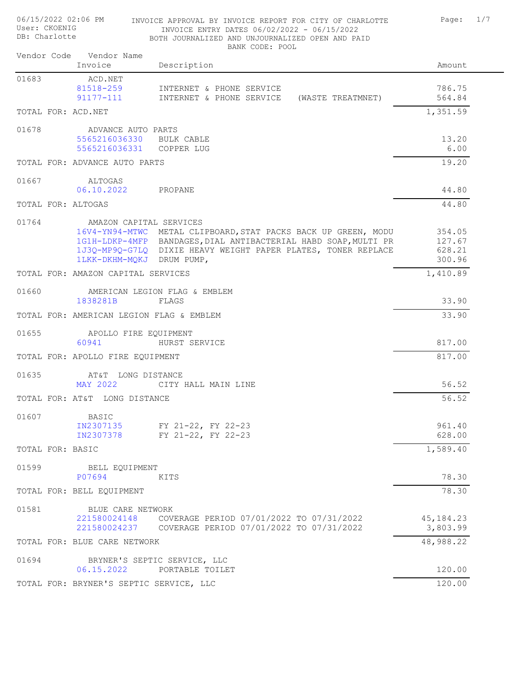| User: CKOENIG<br>DB: Charlotte |  |                                          | INVOICE ENTRY DATES 06/02/2022 - 06/15/2022<br>BOTH JOURNALIZED AND UNJOURNALIZED OPEN AND PAID<br>BANK CODE: POOL |             |
|--------------------------------|--|------------------------------------------|--------------------------------------------------------------------------------------------------------------------|-------------|
|                                |  | Vendor Code Vendor Name<br>Invoice       | Description                                                                                                        | Amount      |
| 01683                          |  | ACD.NET                                  |                                                                                                                    |             |
|                                |  | 81518-259                                | INTERNET & PHONE SERVICE                                                                                           | 786.75      |
|                                |  | 91177-111                                | INTERNET & PHONE SERVICE<br>(WASTE TREATMNET)                                                                      | 564.84      |
|                                |  | TOTAL FOR: ACD.NET                       |                                                                                                                    | 1,351.59    |
| 01678                          |  | ADVANCE AUTO PARTS                       |                                                                                                                    |             |
|                                |  | 5565216036330 BULK CABLE                 |                                                                                                                    | 13.20       |
|                                |  | 5565216036331 COPPER LUG                 |                                                                                                                    | 6.00        |
|                                |  | TOTAL FOR: ADVANCE AUTO PARTS            |                                                                                                                    | 19.20       |
| 01667                          |  | ALTOGAS                                  |                                                                                                                    |             |
|                                |  | 06.10.2022                               | PROPANE                                                                                                            | 44.80       |
|                                |  | TOTAL FOR: ALTOGAS                       |                                                                                                                    | 44.80       |
| 01764                          |  | AMAZON CAPITAL SERVICES                  |                                                                                                                    |             |
|                                |  |                                          | 16V4-YN94-MTWC METAL CLIPBOARD, STAT PACKS BACK UP GREEN, MODU                                                     | 354.05      |
|                                |  |                                          | 1G1H-LDKP-4MFP BANDAGES, DIAL ANTIBACTERIAL HABD SOAP, MULTI PR                                                    | 127.67      |
|                                |  |                                          | 1J3Q-MP9Q-G7LQ DIXIE HEAVY WEIGHT PAPER PLATES, TONER REPLACE                                                      | 628.21      |
|                                |  | 1LKK-DKHM-MQKJ DRUM PUMP,                |                                                                                                                    | 300.96      |
|                                |  | TOTAL FOR: AMAZON CAPITAL SERVICES       |                                                                                                                    | 1,410.89    |
| 01660                          |  |                                          | AMERICAN LEGION FLAG & EMBLEM                                                                                      |             |
|                                |  | 1838281B                                 | FLAGS                                                                                                              | 33.90       |
|                                |  | TOTAL FOR: AMERICAN LEGION FLAG & EMBLEM |                                                                                                                    | 33.90       |
| 01655                          |  | APOLLO FIRE EQUIPMENT                    |                                                                                                                    |             |
|                                |  | 60941                                    | HURST SERVICE                                                                                                      | 817.00      |
|                                |  | TOTAL FOR: APOLLO FIRE EQUIPMENT         |                                                                                                                    | 817.00      |
| 01635                          |  | AT&T LONG DISTANCE                       |                                                                                                                    |             |
|                                |  | MAY 2022                                 | CITY HALL MAIN LINE                                                                                                | 56.52       |
|                                |  | TOTAL FOR: AT&T LONG DISTANCE            |                                                                                                                    | 56.52       |
| 01607                          |  | BASIC                                    |                                                                                                                    |             |
|                                |  | IN2307135                                | FY 21-22, FY 22-23                                                                                                 | 961.40      |
|                                |  | IN2307378                                | FY 21-22, FY 22-23                                                                                                 | 628.00      |
| TOTAL FOR: BASIC               |  |                                          |                                                                                                                    | 1,589.40    |
| 01599                          |  | BELL EQUIPMENT                           |                                                                                                                    |             |
|                                |  | P07694                                   | KITS                                                                                                               | 78.30       |
|                                |  | TOTAL FOR: BELL EQUIPMENT                |                                                                                                                    | 78.30       |
| 01581                          |  | BLUE CARE NETWORK                        |                                                                                                                    |             |
|                                |  | 221580024148                             | COVERAGE PERIOD 07/01/2022 TO 07/31/2022                                                                           | 45, 184. 23 |
|                                |  |                                          | 221580024237 COVERAGE PERIOD 07/01/2022 TO 07/31/2022                                                              | 3,803.99    |
|                                |  | TOTAL FOR: BLUE CARE NETWORK             |                                                                                                                    | 48,988.22   |
| 01694                          |  |                                          | BRYNER'S SEPTIC SERVICE, LLC                                                                                       |             |
|                                |  | 06.15.2022                               | PORTABLE TOILET                                                                                                    | 120.00      |
|                                |  | TOTAL FOR: BRYNER'S SEPTIC SERVICE, LLC  |                                                                                                                    | 120.00      |

06/15/2022 02:06 PM INVOICE APPROVAL BY INVOICE REPORT FOR CITY OF CHARLOTTE Page: 1/7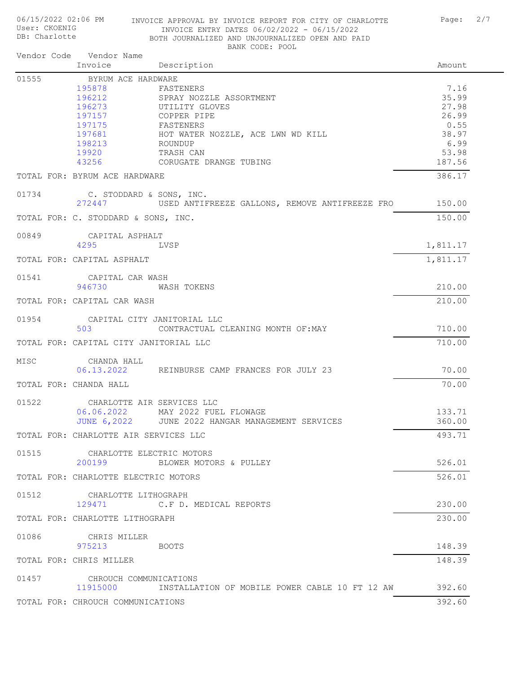DB: Charlotte BOTH JOURNALIZED AND UNJOURNALIZED OPEN AND PAID BANK CODE: POOL Invoice Description **Description** Vendor Code Vendor Name 01555 BYRUM ACE HARDWARE 195878 FASTENERS 7.16 196212 SPRAY NOZZLE ASSORTMENT 196212 35.99<br>196273 UTILITY GLOVES UTILITY GLOVES 197157 COPPER PIPE 26.99 197175 FASTENERS 0.55 197681 HOT WATER NOZZLE, ACE LWN WD KILL 38.97 198213 ROUNDUP 6.99 19920 TRASH CAN 53.98 43256 CORUGATE DRANGE TUBING 187.56 TOTAL FOR: BYRUM ACE HARDWARE 386.17 01734 C. STODDARD & SONS, INC. 272447 USED ANTIFREEZE GALLONS, REMOVE ANTIFREEZE FROM BBLS 150.00 TOTAL FOR: C. STODDARD & SONS, INC. 150.00 00849 CAPITAL ASPHALT<br>4295 LV  $LVSP$  1,811.17 TOTAL FOR: CAPITAL ASPHALT 1,811.17 01541 CAPITAL CAR WASH 946730 WASH TOKENS 210.00 TOTAL FOR: CAPITAL CAR WASH 210.00 01954 CAPITAL CITY JANITORIAL LLC 503 CONTRACTUAL CLEANING MONTH OF:MAY 710.00 TOTAL FOR: CAPITAL CITY JANITORIAL LLC 710.00 MISC CHANDA HALL 06.13.2022 REINBURSE CAMP FRANCES FOR JULY 23 70.00 TOTAL FOR: CHANDA HALL 70.00 01522 CHARLOTTE AIR SERVICES LLC 06.06.2022 MAY 2022 FUEL FLOWAGE 133.71<br>JUNE 6,2022 JUNE 2022 HANGAR MANAGEMENT SERVICES 360.00 JUNE 2022 HANGAR MANAGEMENT SERVICES TOTAL FOR: CHARLOTTE AIR SERVICES LLC 493.71 01515 CHARLOTTE ELECTRIC MOTORS 200199 BLOWER MOTORS & PULLEY 526.01 TOTAL FOR: CHARLOTTE ELECTRIC MOTORS 526.01 01512 CHARLOTTE LITHOGRAPH 129471 C.F D. MEDICAL REPORTS 230.00 TOTAL FOR: CHARLOTTE LITHOGRAPH 230.00 01086 CHRIS MILLER 975213 BOOTS 148.39 TOTAL FOR: CHRIS MILLER 148.39 01457 CHROUCH COMMUNICATIONS 11915000 INSTALLATION OF MOBILE POWER CABLE 10 FT 12 AW 392.60 TOTAL FOR: CHROUCH COMMUNICATIONS 392.60

06/15/2022 02:06 PM INVOICE APPROVAL BY INVOICE REPORT FOR CITY OF CHARLOTTE Page: 2/7

INVOICE ENTRY DATES 06/02/2022 - 06/15/2022

User: CKOENIG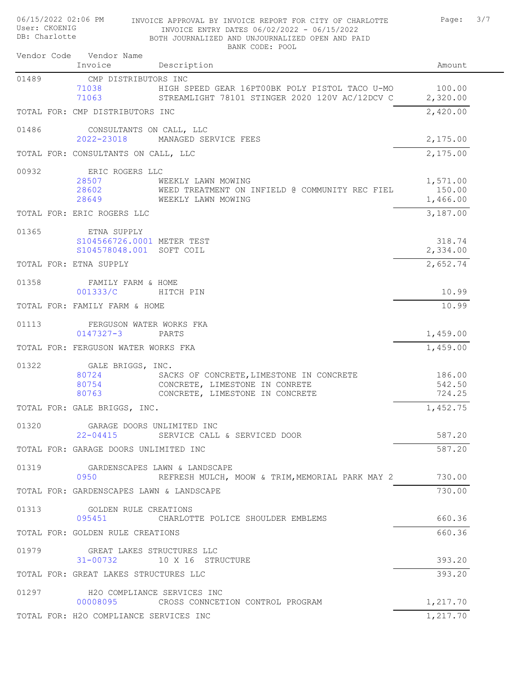| User: CKOENIG<br>DB: Charlotte |                                                                       | INVOICE ENTRY DATES 06/02/2022 - 06/15/2022<br>BOTH JOURNALIZED AND UNJOURNALIZED OPEN AND PAID<br>BANK CODE: POOL |                                |
|--------------------------------|-----------------------------------------------------------------------|--------------------------------------------------------------------------------------------------------------------|--------------------------------|
|                                | Vendor Code Vendor Name<br>Invoice                                    | Description                                                                                                        | Amount                         |
| 01489                          | CMP DISTRIBUTORS INC                                                  |                                                                                                                    |                                |
|                                | 71038<br>71063                                                        | HIGH SPEED GEAR 16PT00BK POLY PISTOL TACO U-MO<br>STREAMLIGHT 78101 STINGER 2020 120V AC/12DCV C                   | 100.00<br>2,320.00             |
|                                | TOTAL FOR: CMP DISTRIBUTORS INC                                       |                                                                                                                    | 2,420.00                       |
| 01486                          | CONSULTANTS ON CALL, LLC<br>$2022 - 23018$                            | MANAGED SERVICE FEES                                                                                               | 2,175.00                       |
|                                | TOTAL FOR: CONSULTANTS ON CALL, LLC                                   |                                                                                                                    | 2,175.00                       |
| 00932                          | ERIC ROGERS LLC<br>28507<br>28602<br>28649                            | WEEKLY LAWN MOWING<br>WEED TREATMENT ON INFIELD @ COMMUNITY REC FIEL<br>WEEKLY LAWN MOWING                         | 1,571.00<br>150.00<br>1,466.00 |
|                                | TOTAL FOR: ERIC ROGERS LLC                                            |                                                                                                                    | 3,187.00                       |
| 01365                          | ETNA SUPPLY<br>S104566726.0001 METER TEST<br>S104578048.001 SOFT COIL |                                                                                                                    | 318.74<br>2,334.00             |
|                                | TOTAL FOR: ETNA SUPPLY                                                |                                                                                                                    | 2,652.74                       |
| 01358                          | FAMILY FARM & HOME<br>001333/C                                        | HITCH PIN                                                                                                          | 10.99                          |
|                                | TOTAL FOR: FAMILY FARM & HOME                                         |                                                                                                                    | 10.99                          |
| 01113                          | FERGUSON WATER WORKS FKA<br>$0147327 - 3$                             | PARTS                                                                                                              | 1,459.00                       |
|                                | TOTAL FOR: FERGUSON WATER WORKS FKA                                   |                                                                                                                    | 1,459.00                       |
| 01322                          | GALE BRIGGS, INC.                                                     |                                                                                                                    |                                |
|                                | 80724                                                                 | SACKS OF CONCRETE, LIMESTONE IN CONCRETE                                                                           | 186.00                         |
|                                | 80754                                                                 | CONCRETE, LIMESTONE IN CONRETE                                                                                     | 542.50                         |
|                                | 80763                                                                 | CONCRETE, LIMESTONE IN CONCRETE                                                                                    | 724.25                         |
|                                | TOTAL FOR: GALE BRIGGS, INC.                                          |                                                                                                                    | 1,452.75                       |
|                                | 01320 GARAGE DOORS UNLIMITED INC<br>22-04415                          | SERVICE CALL & SERVICED DOOR                                                                                       | 587.20                         |
|                                | TOTAL FOR: GARAGE DOORS UNLIMITED INC                                 |                                                                                                                    | 587.20                         |
| 01319                          | 0950                                                                  | GARDENSCAPES LAWN & LANDSCAPE<br>REFRESH MULCH, MOOW & TRIM, MEMORIAL PARK MAY 2                                   | 730.00                         |
|                                | TOTAL FOR: GARDENSCAPES LAWN & LANDSCAPE                              |                                                                                                                    | 730.00                         |
| 01313                          | GOLDEN RULE CREATIONS                                                 | 095451 CHARLOTTE POLICE SHOULDER EMBLEMS                                                                           | 660.36                         |
|                                | TOTAL FOR: GOLDEN RULE CREATIONS                                      |                                                                                                                    | 660.36                         |
| 01979                          | GREAT LAKES STRUCTURES LLC                                            |                                                                                                                    |                                |
|                                |                                                                       | 31-00732 10 X 16 STRUCTURE                                                                                         | 393.20                         |
|                                | TOTAL FOR: GREAT LAKES STRUCTURES LLC                                 |                                                                                                                    | 393.20                         |
| 01297                          |                                                                       | H2O COMPLIANCE SERVICES INC<br>00008095 CROSS CONNCETION CONTROL PROGRAM                                           | 1,217.70                       |
|                                | TOTAL FOR: H2O COMPLIANCE SERVICES INC                                |                                                                                                                    | 1,217.70                       |
|                                |                                                                       |                                                                                                                    |                                |

06/15/2022 02:06 PM INVOICE APPROVAL BY INVOICE REPORT FOR CITY OF CHARLOTTE Page: 3/7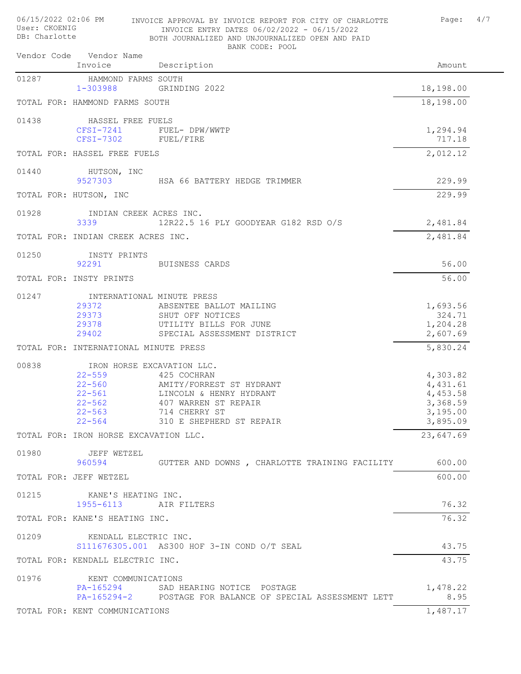| User: CKOENIG<br>DB: Charlotte |  |                                                                                                                | INVOICE ENTRY DATES 06/02/2022 - 06/15/2022<br>BOTH JOURNALIZED AND UNJOURNALIZED OPEN AND PAID<br>BANK CODE: POOL                      |                                                                      |  |
|--------------------------------|--|----------------------------------------------------------------------------------------------------------------|-----------------------------------------------------------------------------------------------------------------------------------------|----------------------------------------------------------------------|--|
|                                |  | Vendor Code Vendor Name<br>Invoice                                                                             | Description                                                                                                                             | Amount                                                               |  |
| 01287                          |  | HAMMOND FARMS SOUTH<br>$1 - 303988$                                                                            | GRINDING 2022                                                                                                                           | 18,198.00                                                            |  |
|                                |  | TOTAL FOR: HAMMOND FARMS SOUTH                                                                                 |                                                                                                                                         | 18,198.00                                                            |  |
| 01438                          |  | HASSEL FREE FUELS                                                                                              |                                                                                                                                         |                                                                      |  |
|                                |  | CFSI-7241<br>$CFSI-7302$                                                                                       | FUEL- DPW/WWTP<br>FUEL/FIRE                                                                                                             | 1,294.94<br>717.18                                                   |  |
|                                |  | TOTAL FOR: HASSEL FREE FUELS                                                                                   |                                                                                                                                         | 2,012.12                                                             |  |
| 01440                          |  | HUTSON, INC<br>9527303                                                                                         | HSA 66 BATTERY HEDGE TRIMMER                                                                                                            | 229.99                                                               |  |
|                                |  | TOTAL FOR: HUTSON, INC                                                                                         |                                                                                                                                         | 229.99                                                               |  |
| 01928                          |  | INDIAN CREEK ACRES INC.<br>3339                                                                                | 12R22.5 16 PLY GOODYEAR G182 RSD O/S                                                                                                    | 2,481.84                                                             |  |
|                                |  | TOTAL FOR: INDIAN CREEK ACRES INC.                                                                             |                                                                                                                                         | 2,481.84                                                             |  |
| 01250                          |  | INSTY PRINTS<br>92291                                                                                          | BUISNESS CARDS                                                                                                                          | 56.00                                                                |  |
|                                |  | TOTAL FOR: INSTY PRINTS                                                                                        |                                                                                                                                         | 56.00                                                                |  |
| 01247                          |  | INTERNATIONAL MINUTE PRESS<br>29372<br>29373<br>29378<br>29402                                                 | ABSENTEE BALLOT MAILING<br>SHUT OFF NOTICES<br>UTILITY BILLS FOR JUNE<br>SPECIAL ASSESSMENT DISTRICT                                    | 1,693.56<br>324.71<br>1,204.28<br>2,607.69                           |  |
|                                |  | TOTAL FOR: INTERNATIONAL MINUTE PRESS                                                                          |                                                                                                                                         | 5,830.24                                                             |  |
| 00838                          |  | IRON HORSE EXCAVATION LLC.<br>$22 - 559$<br>$22 - 560$<br>$22 - 561$<br>$22 - 562$<br>$22 - 563$<br>$22 - 564$ | 425 COCHRAN<br>AMITY/FORREST ST HYDRANT<br>LINCOLN & HENRY HYDRANT<br>407 WARREN ST REPAIR<br>714 CHERRY ST<br>310 E SHEPHERD ST REPAIR | 4,303.82<br>4,431.61<br>4,453.58<br>3,368.59<br>3,195.00<br>3,895.09 |  |
|                                |  | TOTAL FOR: IRON HORSE EXCAVATION LLC.                                                                          |                                                                                                                                         | 23,647.69                                                            |  |
| 01980                          |  | JEFF WETZEL<br>960594                                                                                          | GUTTER AND DOWNS, CHARLOTTE TRAINING FACILITY                                                                                           | 600.00                                                               |  |
|                                |  | TOTAL FOR: JEFF WETZEL                                                                                         |                                                                                                                                         | 600.00                                                               |  |
| 01215                          |  | KANE'S HEATING INC.<br>1955-6113                                                                               | AIR FILTERS                                                                                                                             | 76.32                                                                |  |
|                                |  | TOTAL FOR: KANE'S HEATING INC.                                                                                 |                                                                                                                                         | 76.32                                                                |  |
| 01209                          |  | KENDALL ELECTRIC INC.                                                                                          | S111676305.001 AS300 HOF 3-IN COND O/T SEAL                                                                                             | 43.75                                                                |  |
|                                |  | TOTAL FOR: KENDALL ELECTRIC INC.                                                                               |                                                                                                                                         | 43.75                                                                |  |
| 01976                          |  | KENT COMMUNICATIONS<br>PA-165294                                                                               | SAD HEARING NOTICE POSTAGE<br>PA-165294-2 POSTAGE FOR BALANCE OF SPECIAL ASSESSMENT LETT                                                | 1,478.22<br>8.95                                                     |  |
|                                |  | TOTAL FOR: KENT COMMUNICATIONS                                                                                 |                                                                                                                                         | 1,487.17                                                             |  |

06/15/2022 02:06 PM INVOICE APPROVAL BY INVOICE REPORT FOR CITY OF CHARLOTTE Page: 4/7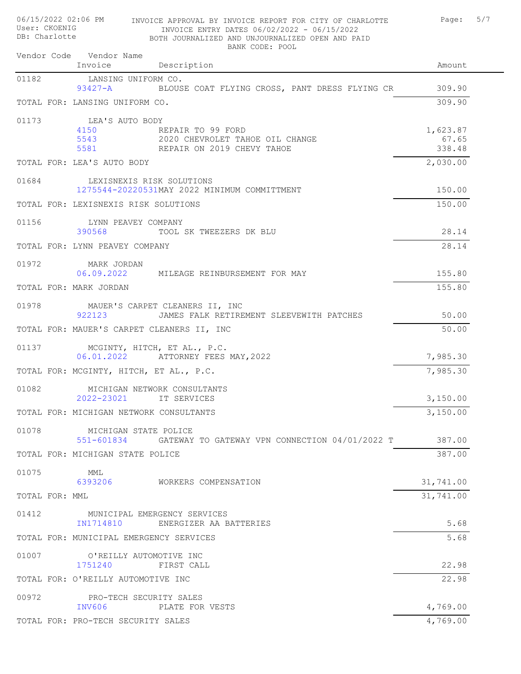| 06/15/2022 02:06 PM<br>INVOICE APPROVAL BY INVOICE REPORT FOR CITY OF CHARLOTTE<br>User: CKOENIG<br>INVOICE ENTRY DATES 06/02/2022 - 06/15/2022<br>DB: Charlotte<br>BOTH JOURNALIZED AND UNJOURNALIZED OPEN AND PAID<br>BANK CODE: POOL |                             | 5/7<br>Page: |
|-----------------------------------------------------------------------------------------------------------------------------------------------------------------------------------------------------------------------------------------|-----------------------------|--------------|
| Vendor Code Vendor Name<br>Invoice<br>Description                                                                                                                                                                                       | Amount                      |              |
| 01182<br>LANSING UNIFORM CO.<br>$93427 - A$<br>BLOUSE COAT FLYING CROSS, PANT DRESS FLYING CR                                                                                                                                           | 309.90                      |              |
| TOTAL FOR: LANSING UNIFORM CO.                                                                                                                                                                                                          | 309.90                      |              |
| 01173<br>LEA'S AUTO BODY<br>4150<br>REPAIR TO 99 FORD<br>2020 CHEVROLET TAHOE OIL CHANGE<br>5543<br>5581 REPAIR ON 2019 CHEVY TAHOE                                                                                                     | 1,623.87<br>67.65<br>338.48 |              |
| TOTAL FOR: LEA'S AUTO BODY                                                                                                                                                                                                              | 2,030.00                    |              |
| 01684<br>LEXISNEXIS RISK SOLUTIONS<br>1275544-20220531MAY 2022 MINIMUM COMMITTMENT                                                                                                                                                      | 150.00                      |              |
| TOTAL FOR: LEXISNEXIS RISK SOLUTIONS                                                                                                                                                                                                    | 150.00                      |              |
| 01156<br>LYNN PEAVEY COMPANY<br>390568<br>TOOL SK TWEEZERS DK BLU                                                                                                                                                                       | 28.14                       |              |
| TOTAL FOR: LYNN PEAVEY COMPANY                                                                                                                                                                                                          | 28.14                       |              |
| 01972<br>MARK JORDAN<br>06.09.2022<br>MILEAGE REINBURSEMENT FOR MAY                                                                                                                                                                     | 155.80                      |              |
| TOTAL FOR: MARK JORDAN                                                                                                                                                                                                                  | 155.80                      |              |
| 01978<br>MAUER'S CARPET CLEANERS II, INC<br>922123<br>JAMES FALK RETIREMENT SLEEVEWITH PATCHES                                                                                                                                          | 50.00                       |              |
| TOTAL FOR: MAUER'S CARPET CLEANERS II, INC                                                                                                                                                                                              | 50.00                       |              |
| 01137<br>MCGINTY, HITCH, ET AL., P.C.<br>06.01.2022 ATTORNEY FEES MAY, 2022                                                                                                                                                             | 7,985.30                    |              |
| TOTAL FOR: MCGINTY, HITCH, ET AL., P.C.                                                                                                                                                                                                 | 7,985.30                    |              |
| 01082<br>MICHIGAN NETWORK CONSULTANTS<br>2022-23021<br>IT SERVICES                                                                                                                                                                      | 3,150.00                    |              |
| TOTAL FOR: MICHIGAN NETWORK CONSULTANTS                                                                                                                                                                                                 | 3,150.00                    |              |
| 01078<br>MICHIGAN STATE POLICE<br>551-601834<br>GATEWAY TO GATEWAY VPN CONNECTION 04/01/2022 T                                                                                                                                          | 387.00                      |              |
| TOTAL FOR: MICHIGAN STATE POLICE                                                                                                                                                                                                        | 387.00                      |              |
| 01075<br>MML<br>6393206<br>WORKERS COMPENSATION                                                                                                                                                                                         | 31,741.00                   |              |
| TOTAL FOR: MML                                                                                                                                                                                                                          | 31,741.00                   |              |
| 01412<br>MUNICIPAL EMERGENCY SERVICES<br>IN1714810<br>ENERGIZER AA BATTERIES                                                                                                                                                            | 5.68                        |              |
| TOTAL FOR: MUNICIPAL EMERGENCY SERVICES                                                                                                                                                                                                 | 5.68                        |              |
| 01007<br>O'REILLY AUTOMOTIVE INC<br>1751240<br>FIRST CALL                                                                                                                                                                               | 22.98                       |              |
| TOTAL FOR: O'REILLY AUTOMOTIVE INC                                                                                                                                                                                                      | 22.98                       |              |
| 00972<br>PRO-TECH SECURITY SALES<br>PLATE FOR VESTS<br>INV606                                                                                                                                                                           | 4,769.00                    |              |
| TOTAL FOR: PRO-TECH SECURITY SALES                                                                                                                                                                                                      | 4,769.00                    |              |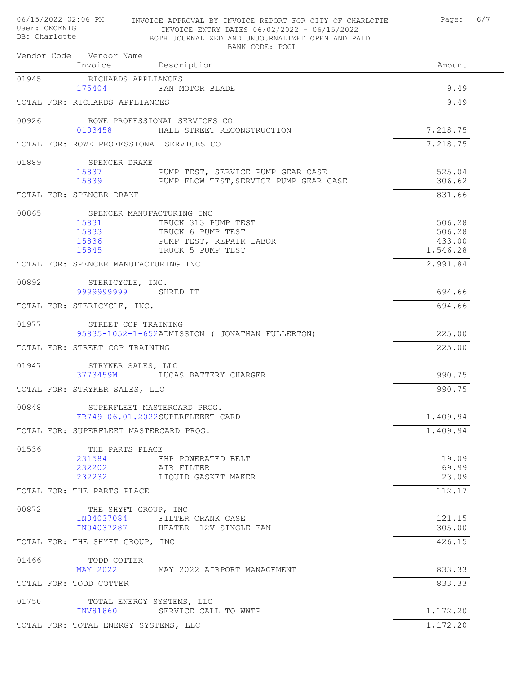| 06/15/2022 02:06 PM<br>User: CKOENIG<br>DB: Charlotte  | INVOICE APPROVAL BY INVOICE REPORT FOR CITY OF CHARLOTTE<br>INVOICE ENTRY DATES 06/02/2022 - 06/15/2022<br>BOTH JOURNALIZED AND UNJOURNALIZED OPEN AND PAID<br>BANK CODE: POOL | Page:                                  | 6/7 |
|--------------------------------------------------------|--------------------------------------------------------------------------------------------------------------------------------------------------------------------------------|----------------------------------------|-----|
| Vendor Code Vendor Name<br>Invoice                     | Description                                                                                                                                                                    | Amount                                 |     |
| 01945<br>RICHARDS APPLIANCES<br>175404                 | FAN MOTOR BLADE                                                                                                                                                                | 9.49                                   |     |
| TOTAL FOR: RICHARDS APPLIANCES                         |                                                                                                                                                                                | 9.49                                   |     |
| 00926<br>0103458                                       | ROWE PROFESSIONAL SERVICES CO<br>HALL STREET RECONSTRUCTION                                                                                                                    | 7,218.75                               |     |
| TOTAL FOR: ROWE PROFESSIONAL SERVICES CO               |                                                                                                                                                                                | 7,218.75                               |     |
| 01889<br>SPENCER DRAKE<br>15837                        | PUMP TEST, SERVICE PUMP GEAR CASE<br>15839 PUMP FLOW TEST, SERVICE PUMP GEAR CASE                                                                                              | 525.04<br>306.62                       |     |
| TOTAL FOR: SPENCER DRAKE                               |                                                                                                                                                                                | 831.66                                 |     |
| 00865<br>15831<br>15833<br>15845 300                   | SPENCER MANUFACTURING INC<br>TRUCK 313 PUMP TEST<br>TRUCK 6 PUMP TEST<br>15836 PUMP TEST, REPAIR LABOR<br>TRUCK 5 PUMP TEST                                                    | 506.28<br>506.28<br>433.00<br>1,546.28 |     |
| TOTAL FOR: SPENCER MANUFACTURING INC                   |                                                                                                                                                                                | 2,991.84                               |     |
| 00892<br>STERICYCLE, INC.<br>9999999999                | SHRED IT                                                                                                                                                                       | 694.66                                 |     |
| TOTAL FOR: STERICYCLE, INC.                            |                                                                                                                                                                                | 694.66                                 |     |
| 01977<br>STREET COP TRAINING                           | 95835-1052-1-652ADMISSION ( JONATHAN FULLERTON)                                                                                                                                | 225.00                                 |     |
| TOTAL FOR: STREET COP TRAINING                         |                                                                                                                                                                                | 225.00                                 |     |
| 01947<br>STRYKER SALES, LLC<br>3773459M                | LUCAS BATTERY CHARGER                                                                                                                                                          | 990.75                                 |     |
| TOTAL FOR: STRYKER SALES, LLC                          |                                                                                                                                                                                | 990.75                                 |     |
| 00848 SUPERFLEET MASTERCARD PROG.                      | FB749-06.01.2022SUPERFLEEET CARD                                                                                                                                               | 1,409.94                               |     |
| TOTAL FOR: SUPERFLEET MASTERCARD PROG.                 |                                                                                                                                                                                | 1,409.94                               |     |
| 01536<br>THE PARTS PLACE<br>231584<br>232202<br>232232 | FHP POWERATED BELT<br>AIR FILTER<br>LIQUID GASKET MAKER                                                                                                                        | 19.09<br>69.99<br>23.09                |     |
| TOTAL FOR: THE PARTS PLACE                             |                                                                                                                                                                                | 112.17                                 |     |
| 00872<br>THE SHYFT GROUP, INC                          | IN04037084 FILTER CRANK CASE<br>IN04037287 HEATER -12V SINGLE FAN                                                                                                              | 121.15<br>305.00                       |     |
| TOTAL FOR: THE SHYFT GROUP, INC                        |                                                                                                                                                                                | 426.15                                 |     |
| 01466<br>TODD COTTER                                   | MAY 2022 MAY 2022 AIRPORT MANAGEMENT                                                                                                                                           | 833.33                                 |     |
| TOTAL FOR: TODD COTTER                                 |                                                                                                                                                                                | 833.33                                 |     |
| 01750 TOTAL ENERGY SYSTEMS, LLC<br>INV81860            | SERVICE CALL TO WWTP                                                                                                                                                           | 1,172.20                               |     |
| TOTAL FOR: TOTAL ENERGY SYSTEMS, LLC                   |                                                                                                                                                                                | 1,172.20                               |     |